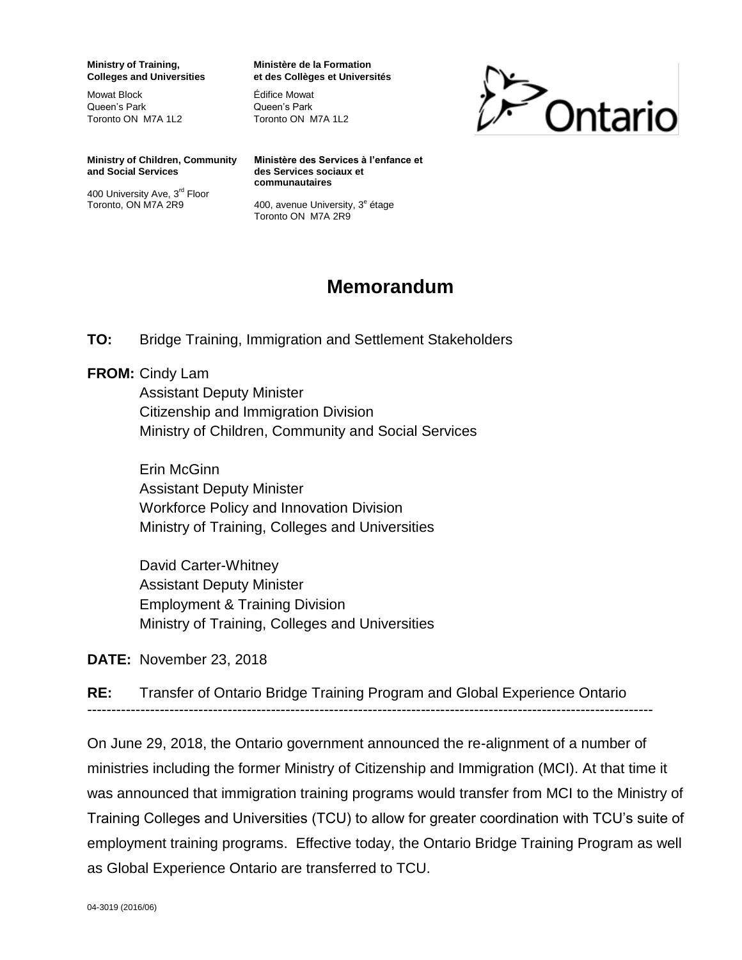**Ministry of Training, Colleges and Universities** 

Mowat Block Queen's Park Toronto ON M7A 1L2 **Ministère de la Formation et des Collèges et Universités** 

Édifice Mowat Queen's Park Toronto ON M7A 1L2



**Ministry of Children, Community and Social Services** 

400 University Ave, 3rd Floor Toronto, ON M7A 2R9

**Ministère des Services à l'enfance et des Services sociaux et communautaires** 

400, avenue University, 3<sup>e</sup> étage Toronto ON M7A 2R9

## **Memorandum**

**TO:** Bridge Training, Immigration and Settlement Stakeholders

## **FROM:** Cindy Lam

Assistant Deputy Minister Citizenship and Immigration Division Ministry of Children, Community and Social Services

Erin McGinn Assistant Deputy Minister Workforce Policy and Innovation Division Ministry of Training, Colleges and Universities

David Carter-Whitney Assistant Deputy Minister Employment & Training Division Ministry of Training, Colleges and Universities

**DATE:** November 23, 2018

**RE:** Transfer of Ontario Bridge Training Program and Global Experience Ontario

---------------------------------------------------------------------------------------------------------------------

On June 29, 2018, the Ontario government announced the re-alignment of a number of ministries including the former Ministry of Citizenship and Immigration (MCI). At that time it was announced that immigration training programs would transfer from MCI to the Ministry of Training Colleges and Universities (TCU) to allow for greater coordination with TCU's suite of employment training programs. Effective today, the Ontario Bridge Training Program as well as Global Experience Ontario are transferred to TCU.